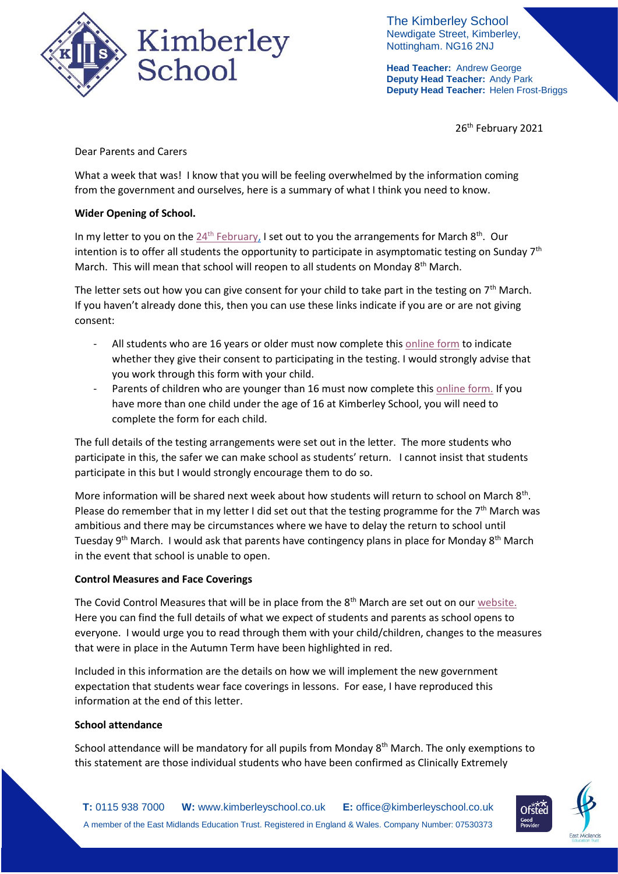

The Kimberley School Newdigate Street, Kimberley, Nottingham. NG16 2NJ

**Head Teacher:** Andrew George **Deputy Head Teacher:** Andy Park **Deputy Head Teacher:** Helen Frost-Briggs

26<sup>th</sup> February 2021

Dear Parents and Carers

What a week that was! I know that you will be feeling overwhelmed by the information coming from the government and ourselves, here is a summary of what I think you need to know.

# **Wider Opening of School.**

In my letter to you on the  $24^{th}$  [February,](https://676e78de-15d9-46b7-9fcd-a49f46e58722.filesusr.com/ugd/b2657a_a3f56868754b45e69ffd3dff06c888fa.pdf) I set out to you the arrangements for March 8<sup>th</sup>. Our intention is to offer all students the opportunity to participate in asymptomatic testing on Sunday  $7<sup>th</sup>$ March. This will mean that school will reopen to all students on Monday 8<sup>th</sup> March.

The letter sets out how you can give consent for your child to take part in the testing on  $7<sup>th</sup>$  March. If you haven't already done this, then you can use these links indicate if you are or are not giving consent:

- All students who are 16 years or older must now complete thi[s online form](https://forms.office.com/Pages/ResponsePage.aspx?id=h4JaFYDSiky-6glrnTAOBhbVGSkW34RIgrKjl0BYkC1URU9JOEkzWVE2WEJYVlhMQVo2ODNVVDIyUy4u) to indicate whether they give their consent to participating in the testing. I would strongly advise that you work through this form with your child.
- Parents of children who are younger than 16 must now complete this [online form.](https://forms.office.com/Pages/ResponsePage.aspx?id=h4JaFYDSiky-6glrnTAOBhbVGSkW34RIgrKjl0BYkC1UQTZKMEk0SFdCUTdRSkdJODRaV1czOTlXSy4u) If you have more than one child under the age of 16 at Kimberley School, you will need to complete the form for each child.

The full details of the testing arrangements were set out in the letter. The more students who participate in this, the safer we can make school as students' return. I cannot insist that students participate in this but I would strongly encourage them to do so.

More information will be shared next week about how students will return to school on March 8<sup>th</sup>. Please do remember that in my letter I did set out that the testing programme for the  $7<sup>th</sup>$  March was ambitious and there may be circumstances where we have to delay the return to school until Tuesday 9<sup>th</sup> March. I would ask that parents have contingency plans in place for Monday 8<sup>th</sup> March in the event that school is unable to open.

### **Control Measures and Face Coverings**

The Covid Control Measures that will be in place from the  $8<sup>th</sup>$  March are set out on our website. Here you can find the full details of what we expect of students and parents as school opens to everyone. I would urge you to read through them with your child/children, changes to the measures that were in place in the Autumn Term have been highlighted in red.

Included in this information are the details on how we will implement the new government expectation that students wear face coverings in lessons. For ease, I have reproduced this information at the end of this letter.

### **School attendance**

School attendance will be mandatory for all pupils from Monday  $8<sup>th</sup>$  March. The only exemptions to this statement are those individual students who have been confirmed as Clinically Extremely

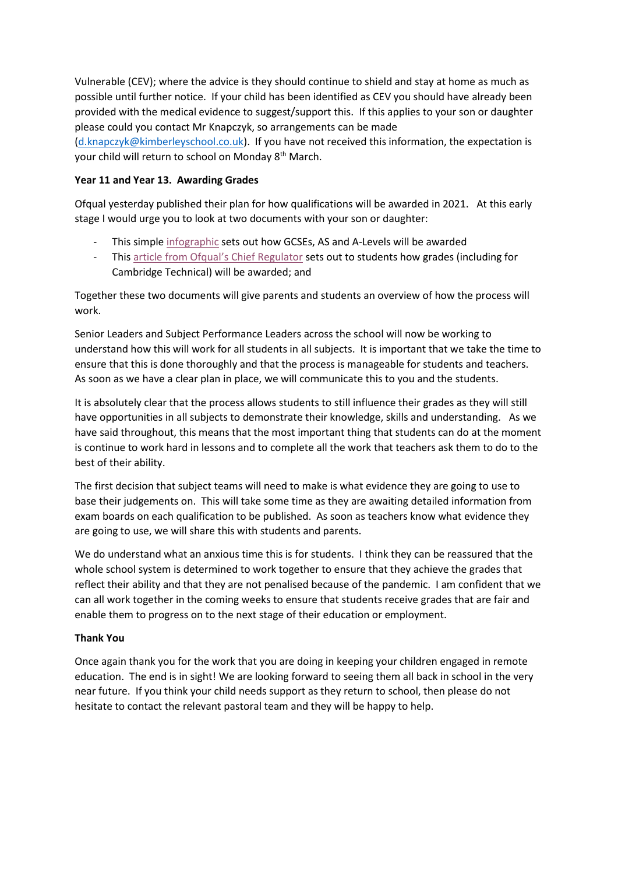Vulnerable (CEV); where the advice is they should continue to shield and stay at home as much as possible until further notice. If your child has been identified as CEV you should have already been provided with the medical evidence to suggest/support this. If this applies to your son or daughter please could you contact Mr Knapczyk, so arrangements can be made

[\(d.knapczyk@kimberleyschool.co.uk\)](mailto:d.knapczyk@kimberleyschool.co.uk). If you have not received this information, the expectation is your child will return to school on Monday 8<sup>th</sup> March.

## **Year 11 and Year 13. Awarding Grades**

Ofqual yesterday published their plan for how qualifications will be awarded in 2021. At this early stage I would urge you to look at two documents with your son or daughter:

- This simple [infographic](https://assets.publishing.service.gov.uk/government/uploads/system/uploads/attachment_data/file/964613/Infographic_-_how_GCSEs__AS_and_A_levels_will_be_awarded_in_summer_2021.pdf) sets out how GCSEs, AS and A-Levels will be awarded
- Thi[s article from Ofqual](https://www.gov.uk/government/speeches/how-qualifications-will-be-awarded-in-2021)'s Chief Regulator sets out to students how grades (including for Cambridge Technical) will be awarded; and

Together these two documents will give parents and students an overview of how the process will work.

Senior Leaders and Subject Performance Leaders across the school will now be working to understand how this will work for all students in all subjects. It is important that we take the time to ensure that this is done thoroughly and that the process is manageable for students and teachers. As soon as we have a clear plan in place, we will communicate this to you and the students.

It is absolutely clear that the process allows students to still influence their grades as they will still have opportunities in all subjects to demonstrate their knowledge, skills and understanding. As we have said throughout, this means that the most important thing that students can do at the moment is continue to work hard in lessons and to complete all the work that teachers ask them to do to the best of their ability.

The first decision that subject teams will need to make is what evidence they are going to use to base their judgements on. This will take some time as they are awaiting detailed information from exam boards on each qualification to be published. As soon as teachers know what evidence they are going to use, we will share this with students and parents.

We do understand what an anxious time this is for students. I think they can be reassured that the whole school system is determined to work together to ensure that they achieve the grades that reflect their ability and that they are not penalised because of the pandemic. I am confident that we can all work together in the coming weeks to ensure that students receive grades that are fair and enable them to progress on to the next stage of their education or employment.

### **Thank You**

Once again thank you for the work that you are doing in keeping your children engaged in remote education. The end is in sight! We are looking forward to seeing them all back in school in the very near future. If you think your child needs support as they return to school, then please do not hesitate to contact the relevant pastoral team and they will be happy to help.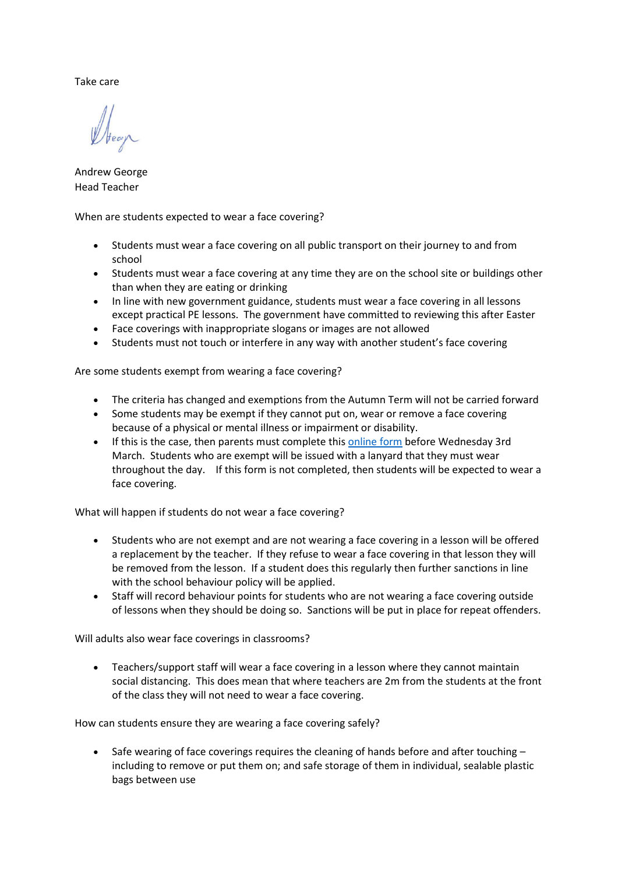Take care

Andrew George Head Teacher

When are students expected to wear a face covering?

- Students must wear a face covering on all public transport on their journey to and from school
- Students must wear a face covering at any time they are on the school site or buildings other than when they are eating or drinking
- In line with new government guidance, students must wear a face covering in all lessons except practical PE lessons. The government have committed to reviewing this after Easter
- Face coverings with inappropriate slogans or images are not allowed
- Students must not touch or interfere in any way with another student's face covering

Are some students exempt from wearing a face covering?

- The criteria has changed and exemptions from the Autumn Term will not be carried forward
- Some students may be exempt if they cannot put on, wear or remove a face covering because of a physical or mental illness or impairment or disability.
- If this is the case, then parents must complete this [online form](https://forms.office.com/Pages/ResponsePage.aspx?id=h4JaFYDSiky-6glrnTAOBmQEdvWSEThNlRxq25LyiOZUMDMxUUdFTlNIWTFaUlI0REw2REZRWlFHVS4u) before Wednesday 3rd March. Students who are exempt will be issued with a lanyard that they must wear throughout the day. If this form is not completed, then students will be expected to wear a face covering.

What will happen if students do not wear a face covering?

- Students who are not exempt and are not wearing a face covering in a lesson will be offered a replacement by the teacher. If they refuse to wear a face covering in that lesson they will be removed from the lesson. If a student does this regularly then further sanctions in line with the school behaviour policy will be applied.
- Staff will record behaviour points for students who are not wearing a face covering outside of lessons when they should be doing so. Sanctions will be put in place for repeat offenders.

Will adults also wear face coverings in classrooms?

 Teachers/support staff will wear a face covering in a lesson where they cannot maintain social distancing. This does mean that where teachers are 2m from the students at the front of the class they will not need to wear a face covering.

How can students ensure they are wearing a face covering safely?

 $\bullet$  Safe wearing of face coverings requires the cleaning of hands before and after touching  $$ including to remove or put them on; and safe storage of them in individual, sealable plastic bags between use